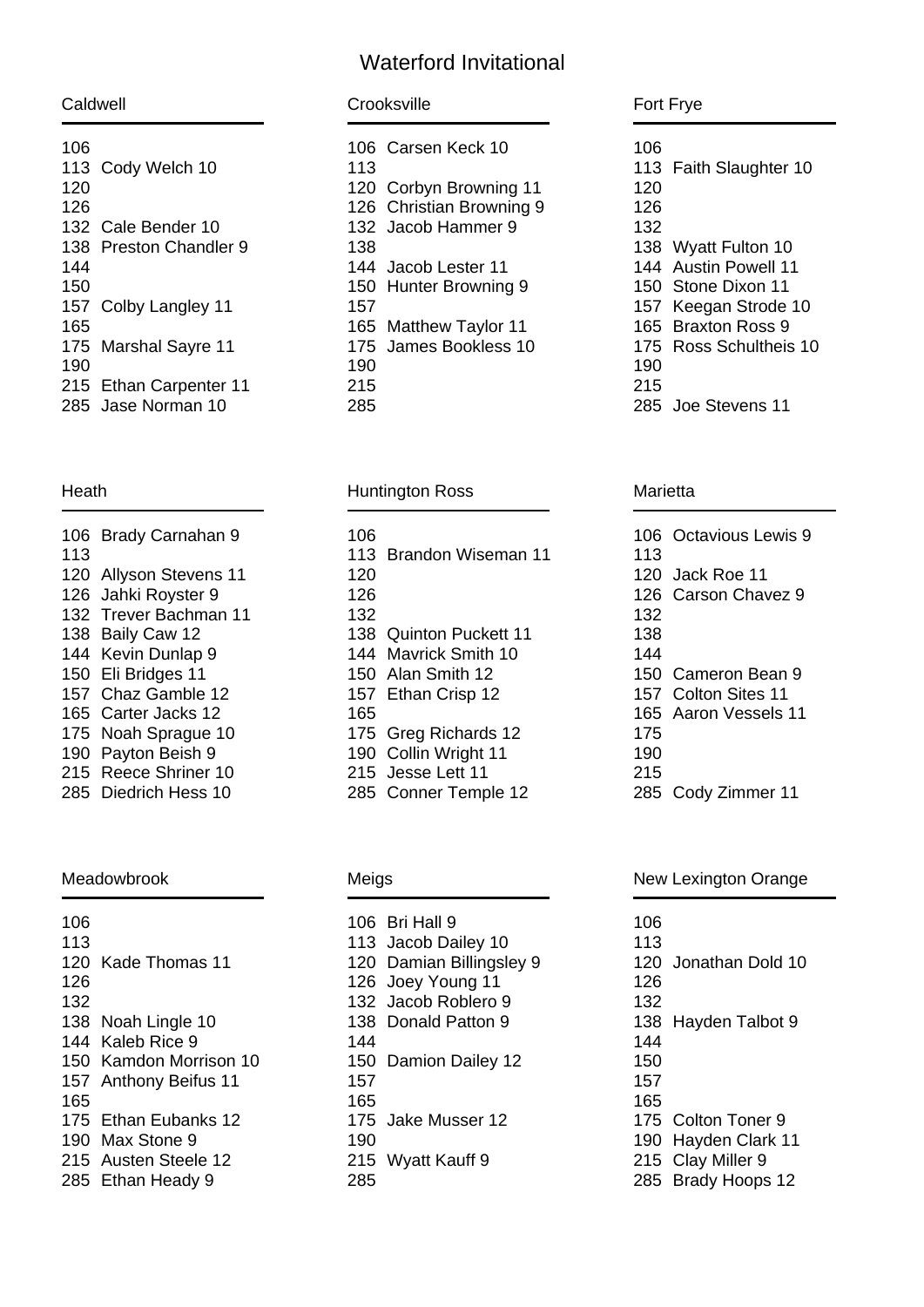# Waterford Invitational

Caldwell

| Cody Welch 10              |
|----------------------------|
|                            |
| 132 Cale Bender 10         |
| 138 Preston Chandler 9     |
|                            |
|                            |
| Colby Langley 11           |
|                            |
| <b>Marshal Sayre 11</b>    |
|                            |
| Ethan Carpenter 11<br>215. |
| Jase Norman 10             |
|                            |

### Heath

| 106 | Brady Carnahan 9          |
|-----|---------------------------|
| 113 |                           |
| 120 | <b>Allyson Stevens 11</b> |
| 126 | Jahki Royster 9           |
| 132 | Trever Bachman 11         |
| 138 | Baily Caw 12              |
| 144 | Kevin Dunlap 9            |
| 150 | Eli Bridges 11            |
| 157 | Chaz Gamble 12            |
| 165 | Carter Jacks 12           |
| 175 | Noah Sprague 10           |
| 190 | Payton Beish 9            |
| 215 | <b>Reece Shriner 10</b>   |
| 285 | Diedrich Hess 10          |

### Meadowbrook

| 106 |                          |
|-----|--------------------------|
| 113 |                          |
| 120 | Kade Thomas 11           |
| 126 |                          |
| 132 |                          |
| 138 | Noah Lingle 10           |
| 144 | Kaleb Rice 9             |
| 150 | Kamdon Morrison 10       |
| 157 | <b>Anthony Beifus 11</b> |
| 165 |                          |
| 175 | Ethan Eubanks 12         |
| 190 | Max Stone 9              |
| 215 | Austen Steele 12         |
| 285 | Ethan Heady 9            |
|     |                          |

| Crooksville |  |
|-------------|--|
|             |  |

|     | 106 Carsen Keck 10       |
|-----|--------------------------|
| 113 |                          |
| 120 | Corbyn Browning 11       |
|     | 126 Christian Browning 9 |
|     | 132 Jacob Hammer 9       |
| 138 |                          |
|     | 144 Jacob Lester 11      |
|     | 150 Hunter Browning 9    |
| 157 |                          |
| 165 | <b>Matthew Taylor 11</b> |
| 175 | James Bookless 10        |
| 190 |                          |
| 215 |                          |
| 285 |                          |

### Huntington Ross

| 106<br>113<br>120<br>126 | Brandon Wiseman 11     |
|--------------------------|------------------------|
| 132                      |                        |
|                          | 138 Quinton Puckett 11 |
| 144                      | Mavrick Smith 10       |
|                          | 150 Alan Smith 12      |
| 157                      | Ethan Crisp 12         |
| 165                      |                        |
| 175                      | Greg Richards 12       |
| 190.                     | Collin Wright 11       |
| 215                      | Jesse Lett 11          |
| 285                      | Conner Temple 12       |

## Meigs

| 106   | Bri Hall 9           |
|-------|----------------------|
| 113.  | Jacob Dailey 10      |
| 120   | Damian Billingsley 9 |
| 126   | Joey Young 11        |
| 132   | Jacob Roblero 9      |
| 138 - | Donald Patton 9      |
| 144   |                      |
| 150   | Damion Dailey 12     |
| 157   |                      |
| 165   |                      |
| 175   | Jake Musser 12       |
| 190   |                      |
| 215   | Wyatt Kauff 9        |
| 285   |                      |
|       |                      |

### Fort Frye

| 106<br>113<br>120 | <b>Faith Slaughter 10</b> |
|-------------------|---------------------------|
| 126               |                           |
| 132               |                           |
| 138               | <b>Wyatt Fulton 10</b>    |
| 144               | <b>Austin Powell 11</b>   |
| 150               | Stone Dixon 11            |
| 157               | Keegan Strode 10          |
| 165 -             | Braxton Ross 9            |
| 175               | Ross Schultheis 10        |
| 190               |                           |
| 215               |                           |
| 285               | Joe Stevens 11            |

#### Marietta

| 106 | Octavious Lewis 9   |
|-----|---------------------|
| 113 |                     |
| 120 | Jack Roe 11         |
|     | 126 Carson Chavez 9 |
| 132 |                     |
| 138 |                     |
| 144 |                     |
| 150 | Cameron Bean 9      |
| 157 | Colton Sites 11     |
| 165 | Aaron Vessels 11    |
| 175 |                     |
| 190 |                     |
| 215 |                     |
| 285 | Cody Zimmer 11      |

### New Lexington Orange

| 106 |                       |
|-----|-----------------------|
| 113 |                       |
| 120 | Jonathan Dold 10      |
| 126 |                       |
| 132 |                       |
|     | 138 Hayden Talbot 9   |
| 144 |                       |
| 150 |                       |
| 157 |                       |
| 165 |                       |
| 175 | Colton Toner 9        |
| 190 | Hayden Clark 11       |
| 215 | Clay Miller 9         |
| 285 | <b>Brady Hoops 12</b> |
|     |                       |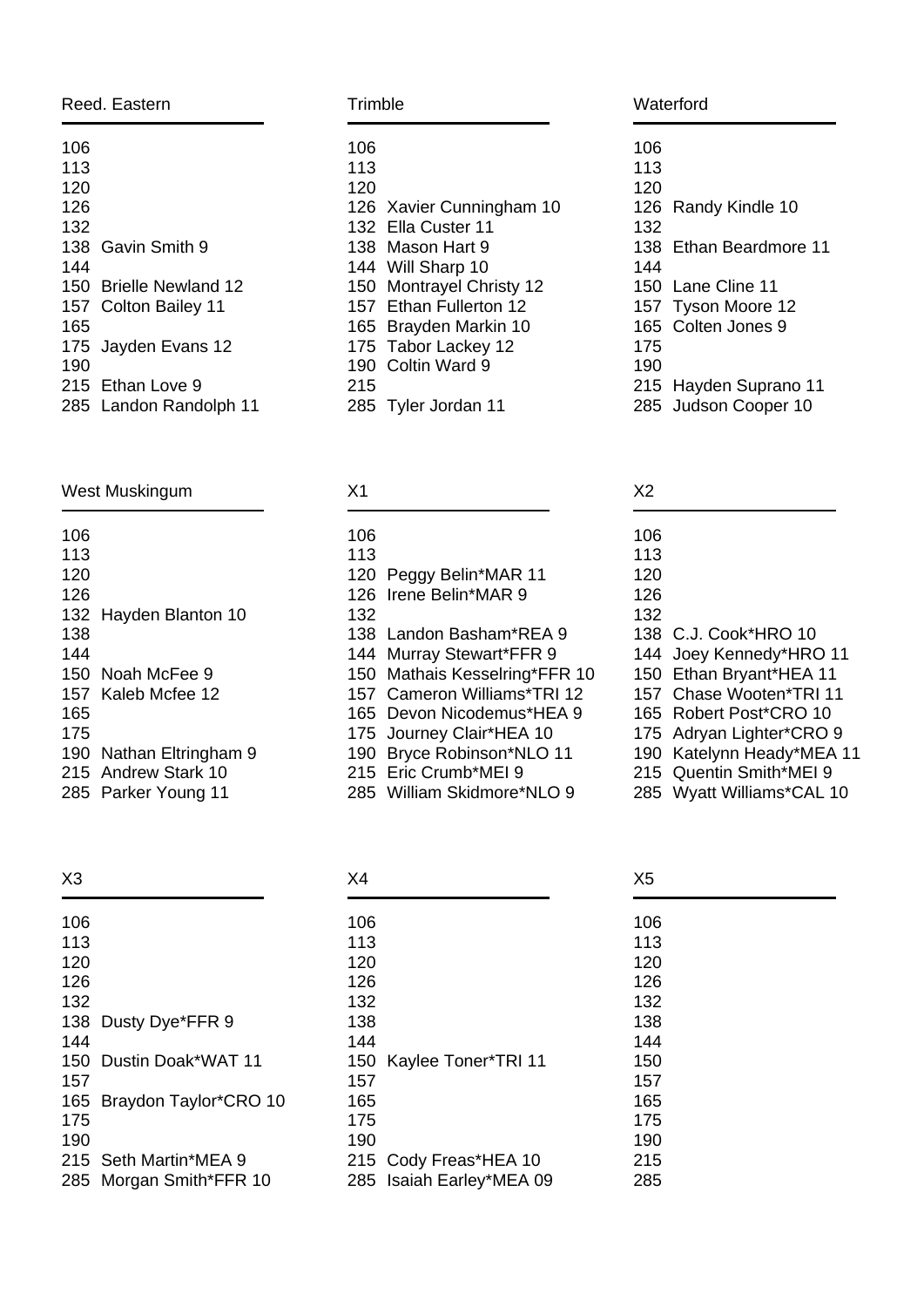| Reed. Eastern |                    |
|---------------|--------------------|
| 106           |                    |
| 113           |                    |
| 120           |                    |
| 126           |                    |
| 132           |                    |
| 138           | Gavin Smith 9      |
| 144           |                    |
| 150           | Brielle Newland 12 |
| 157           | Colton Bailey 11   |
| 165           |                    |
| 175           | Jayden Evans 12    |
| 190           |                    |
| 215           | Ethan Love 9       |
| 285           | Landon Randolph 11 |

## West Muskingum

| 106 |                     |
|-----|---------------------|
| 113 |                     |
| 120 |                     |
| 126 |                     |
| 132 | Hayden Blanton 10   |
| 138 |                     |
| 144 |                     |
| 150 | Noah McFee 9        |
| 157 | Kaleb Mcfee 12      |
| 165 |                     |
| 175 |                     |
| 190 | Nathan Eltringham 9 |
| 215 | Andrew Stark 10     |
| 285 | Parker Young 11     |

X3

| 106 |                       |
|-----|-----------------------|
| 113 |                       |
| 120 |                       |
| 126 |                       |
| 132 |                       |
| 138 | Dusty Dye*FFR 9       |
| 144 |                       |
| 150 | Dustin Doak*WAT 11    |
| 157 |                       |
| 165 | Braydon Taylor*CRO 10 |
| 175 |                       |
| 190 |                       |
|     | 215 Seth Martin*MEA 9 |
| 285 | Morgan Smith*FFR 10   |
|     |                       |

| Trimble |                             |  |  |
|---------|-----------------------------|--|--|
| 106     |                             |  |  |
| 113     |                             |  |  |
| 120     |                             |  |  |
| 126     | Xavier Cunningham 10        |  |  |
| 132     | Ella Custer 11              |  |  |
| 138 -   | Mason Hart 9                |  |  |
| 144     | Will Sharp 10               |  |  |
| 150     | <b>Montrayel Christy 12</b> |  |  |
| 157     | Ethan Fullerton 12          |  |  |
| 165.    | Brayden Markin 10           |  |  |
| 175     | Tabor Lackey 12             |  |  |
| 190     | Coltin Ward 9               |  |  |
| 215     |                             |  |  |
| 285     | Tyler Jordan 11             |  |  |

#### X1  $\overline{\phantom{a}}$

| 106 |                           |
|-----|---------------------------|
| 113 |                           |
| 120 | Peggy Belin*MAR 11        |
| 126 | Irene Belin*MAR 9         |
| 132 |                           |
| 138 | Landon Basham*REA 9       |
| 144 | Murray Stewart*FFR 9      |
| 150 | Mathais Kesselring*FFR 10 |
| 157 | Cameron Williams*TRI 12   |
| 165 | Devon Nicodemus*HEA 9     |
| 175 | Journey Clair*HEA 10      |
| 190 | Bryce Robinson*NLO 11     |
| 215 | Eric Crumb*MEI 9          |
| 285 | William Skidmore*NLO 9    |
|     |                           |

| X4  |                       |
|-----|-----------------------|
| 106 |                       |
| 113 |                       |
| 120 |                       |
| 126 |                       |
| 132 |                       |
| 138 |                       |
| 144 |                       |
| 150 | Kaylee Toner*TRI 11   |
| 157 |                       |
| 165 |                       |
| 175 |                       |
| 190 |                       |
|     | 215 Cody Freas*HEA 10 |
| 285 | Isaiah Earley*MEA 09  |

### Waterford

| 106 |                        |
|-----|------------------------|
| 113 |                        |
| 120 |                        |
|     | 126 Randy Kindle 10    |
| 132 |                        |
|     | 138 Ethan Beardmore 11 |
| 144 |                        |
|     | 150 Lane Cline 11      |
|     | 157 Tyson Moore 12     |
|     | 165 Colten Jones 9     |
| 175 |                        |
| 190 |                        |
|     | 215 Hayden Suprano 11  |
|     | 285 Judson Cooper 10   |
|     |                        |

| Х2   |                            |
|------|----------------------------|
| 106  |                            |
| 113  |                            |
| 120  |                            |
| 126  |                            |
| 132  |                            |
| 138  | C.J. Cook*HRO 10           |
| 144  | Joey Kennedy*HRO 11        |
| 150  | Ethan Bryant*HEA 11        |
| 157  | Chase Wooten*TRI 11        |
| 165. | Robert Post*CRO 10         |
| 175  | Adryan Lighter*CRO 9       |
| 190  | Katelynn Heady*MEA 11      |
| 215  | <b>Quentin Smith*MEI 9</b> |
| חהמ  |                            |

|  |  | 285 Wyatt Williams*CAL 10 |  |  |
|--|--|---------------------------|--|--|
|--|--|---------------------------|--|--|

| X <sub>5</sub> |  |  |
|----------------|--|--|
| 106            |  |  |
| 113            |  |  |
| 120            |  |  |
| 126            |  |  |
| 132            |  |  |
| 138            |  |  |
| 144            |  |  |
| 150            |  |  |
| 157            |  |  |
| 165            |  |  |
| 175            |  |  |
| 190            |  |  |
| 215            |  |  |
| 285            |  |  |